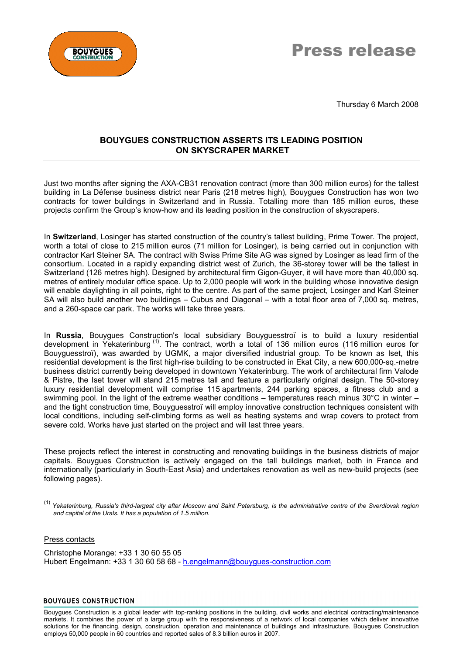



Thursday 6 March 2008

# **BOUYGUES CONSTRUCTION ASSERTS ITS LEADING POSITION ON SKYSCRAPER MARKET**

Just two months after signing the AXA-CB31 renovation contract (more than 300 million euros) for the tallest building in La Défense business district near Paris (218 metres high), Bouygues Construction has won two contracts for tower buildings in Switzerland and in Russia. Totalling more than 185 million euros, these projects confirm the Group's know-how and its leading position in the construction of skyscrapers.

In **Switzerland**, Losinger has started construction of the country's tallest building, Prime Tower. The project, worth a total of close to 215 million euros (71 million for Losinger), is being carried out in conjunction with contractor Karl Steiner SA. The contract with Swiss Prime Site AG was signed by Losinger as lead firm of the consortium. Located in a rapidly expanding district west of Zurich, the 36-storey tower will be the tallest in Switzerland (126 metres high). Designed by architectural firm Gigon-Guyer, it will have more than 40,000 sq. metres of entirely modular office space. Up to 2,000 people will work in the building whose innovative design will enable daylighting in all points, right to the centre. As part of the same project, Losinger and Karl Steiner SA will also build another two buildings – Cubus and Diagonal – with a total floor area of 7,000 sq. metres, and a 260-space car park. The works will take three years.

In **Russia**, Bouygues Construction's local subsidiary Bouyguesstroï is to build a luxury residential development in Yekaterinburg<sup>(1)</sup>. The contract, worth a total of 136 million euros (116 million euros for Bouyguesstroï), was awarded by UGMK, a major diversified industrial group. To be known as Iset, this residential development is the first high-rise building to be constructed in Ekat City, a new 600,000-sq.-metre business district currently being developed in downtown Yekaterinburg. The work of architectural firm Valode & Pistre, the Iset tower will stand 215 metres tall and feature a particularly original design. The 50-storey luxury residential development will comprise 115 apartments, 244 parking spaces, a fitness club and a swimming pool. In the light of the extreme weather conditions – temperatures reach minus 30°C in winter – and the tight construction time, Bouyguesstroï will employ innovative construction techniques consistent with local conditions, including self-climbing forms as well as heating systems and wrap covers to protect from severe cold. Works have just started on the project and will last three years.

These projects reflect the interest in constructing and renovating buildings in the business districts of major capitals. Bouygues Construction is actively engaged on the tall buildings market, both in France and internationally (particularly in South-East Asia) and undertakes renovation as well as new-build projects (see following pages).

(1) *Yekaterinburg, Russia's third-largest city after Moscow and Saint Petersburg, is the administrative centre of the Sverdlovsk region and capital of the Urals. It has a population of 1.5 million.*

## Press contacts

Christophe Morange: +33 1 30 60 55 05 Hubert Engelmann: +33 1 30 60 58 68 - [h.engelmann@bouygues-construction.com](mailto:h.engelmann@bouygues-construction.com)

#### **BOUYGUES CONSTRUCTION**

Bouygues Construction is a global leader with top-ranking positions in the building, civil works and electrical contracting/maintenance markets. It combines the power of a large group with the responsiveness of a network of local companies which deliver innovative solutions for the financing, design, construction, operation and maintenance of buildings and infrastructure. Bouygues Construction employs 50,000 people in 60 countries and reported sales of 8.3 billion euros in 2007.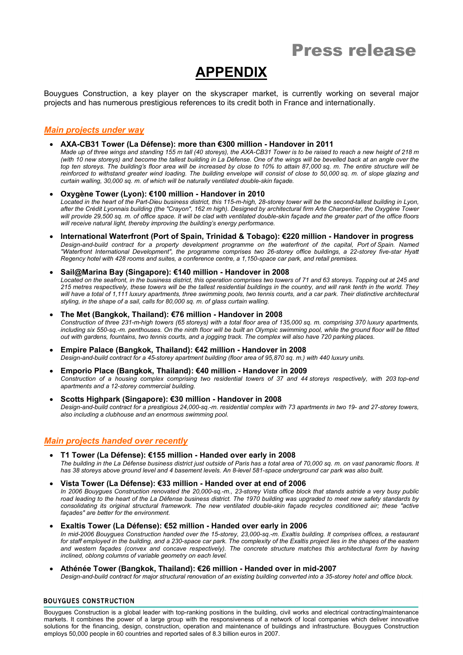# **APPENDIX**

Bouygues Construction, a key player on the skyscraper market, is currently working on several major projects and has numerous prestigious references to its credit both in France and internationally.

## *Main projects under way*

**AXA-CB31 Tower (La Défense): more than €300 million - Handover in 2011**

*Made up of three wings and standing 155 m tall (40 storeys), the AXA-CB31 Tower is to be raised to reach a new height of 218 m (with 10 new storeys) and become the tallest building in La Défense. One of the wings will be bevelled back at an angle over the top ten storeys. The building's floor area will be increased by close to 10% to attain 87,000 sq. m. The entire structure will be reinforced to withstand greater wind loading. The building envelope will consist of close to 50,000 sq. m. of slope glazing and curtain walling, 30,000 sq. m. of which will be naturally ventilated double-skin façade.*

- **Oxygène Tower (Lyon): €100 million Handover in 2010** *Located in the heart of the Part-Dieu business district, this 115-m-high, 28-storey tower will be the second-tallest building in Lyon, after the Crédit Lyonnais building (the "Crayon", 162 m high). Designed by architectural firm Arte Charpentier, the Oxygène Tower will provide 29,500 sq. m. of office space. It will be clad with ventilated double-skin façade and the greater part of the office floors will receive natural light, thereby improving the building's energy performance.*
- **International Waterfront (Port of Spain, Trinidad & Tobago): €220 million Handover in progress** *Design-and-build contract for a property development programme on the waterfront of the capital, Port of Spain. Named "Waterfront International Development", the programme comprises two 26-storey office buildings, a 22-storey five-star Hyatt Regency hotel with 428 rooms and suites, a conference centre, a 1,150-space car park, and retail premises.*
- **Sail@Marina Bay (Singapore): €140 million Handover in 2008** *Located on the seafront, in the business district, this operation comprises two towers of 71 and 63 storeys. Topping out at 245 and 215 metres respectively, these towers will be the tallest residential buildings in the country, and will rank tenth in the world. They*  will have a total of 1,111 luxury apartments, three swimming pools, two tennis courts, and a car park. Their distinctive architectural
- *styling, in the shape of a sail, calls for 80,000 sq. m. of glass curtain walling.* **The Met (Bangkok, Thailand): €76 million - Handover in 2008**
- *Construction of three 231-m-high towers (65 storeys) with a total floor area of 135,000 sq. m. comprising 370 luxury apartments, including six 550-sq.-m. penthouses. On the ninth floor will be built an Olympic swimming pool, while the ground floor will be fitted out with gardens, fountains, two tennis courts, and a jogging track. The complex will also have 720 parking places.*
- **Empire Palace (Bangkok, Thailand): €42 million Handover in 2008** *Design-and-build contract for a 45-storey apartment building (floor area of 95,870 sq. m.) with 440 luxury units.* **Emporio Place (Bangkok, Thailand): €40 million - Handover in 2009**
- *Construction of a housing complex comprising two residential towers of 37 and 44 storeys respectively, with 203 top-end apartments and a 12-storey commercial building.*
- **Scotts Highpark (Singapore): €30 million Handover in 2008** *Design-and-build contract for a prestigious 24,000-sq.-m. residential complex with 73 apartments in two 19- and 27-storey towers, also including a clubhouse and an enormous swimming pool.*

## *Main projects handed over recently*

- **T1 Tower (La Défense): €155 million Handed over early in 2008** *The building in the La Défense business district just outside of Paris has a total area of 70,000 sq. m. on vast panoramic floors. It has 38 storeys above ground level and 4 basement levels. An 8-level 581-space underground car park was also built.*
- **Vista Tower (La Défense): €33 million Handed over at end of 2006** *In 2006 Bouygues Construction renovated the 20,000-sq.-m., 23-storey Vista office block that stands astride a very busy public road leading to the heart of the La Défense business district. The 1970 building was upgraded to meet new safety standards by* consolidating its original structural framework. The new ventilated double-skin façade recycles conditioned air; these "active *façades" are better for the environment.*
- **Exaltis Tower (La Défense): €52 million Handed over early in 2006** *In mid-2006 Bouygues Construction handed over the 15-storey, 23,000-sq.-m. Exaltis building. It comprises offices, a restaurant*  for staff employed in the building, and a 230-space car park. The complexity of the Exaltis project lies in the shapes of the eastern *and western façades (convex and concave respectively). The concrete structure matches this architectural form by having inclined, oblong columns of variable geometry on each level.*
- **Athénée Tower (Bangkok, Thailand): €26 million Handed over in mid-2007**

*Design-and-build contract for major structural renovation of an existing building converted into a 35-storey hotel and office block.*

#### **BOUYGUES CONSTRUCTION**

Bouygues Construction is a global leader with top-ranking positions in the building, civil works and electrical contracting/maintenance markets. It combines the power of a large group with the responsiveness of a network of local companies which deliver innovative solutions for the financing, design, construction, operation and maintenance of buildings and infrastructure. Bouygues Construction employs 50,000 people in 60 countries and reported sales of 8.3 billion euros in 2007.